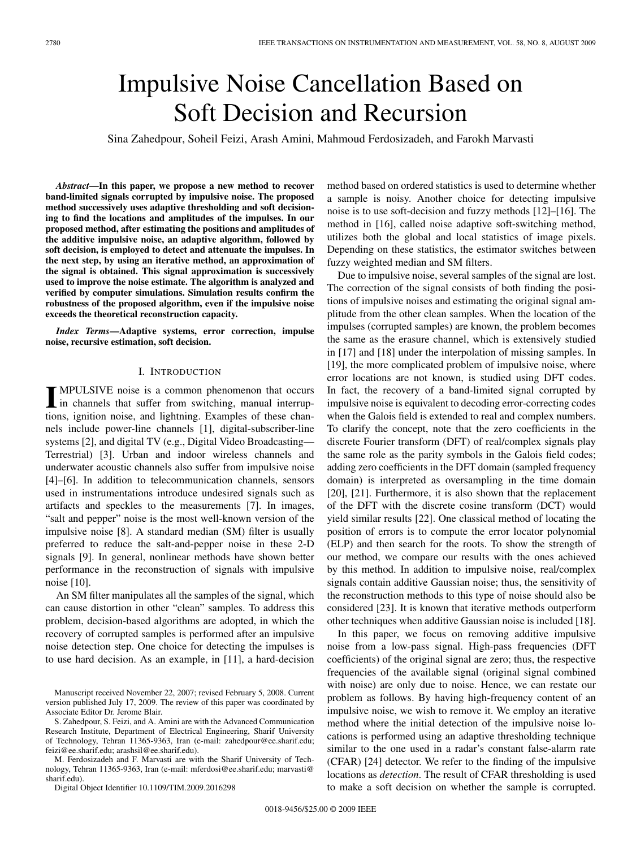# Impulsive Noise Cancellation Based on Soft Decision and Recursion

Sina Zahedpour, Soheil Feizi, Arash Amini, Mahmoud Ferdosizadeh, and Farokh Marvasti

*Abstract***—In this paper, we propose a new method to recover band-limited signals corrupted by impulsive noise. The proposed method successively uses adaptive thresholding and soft decisioning to find the locations and amplitudes of the impulses. In our proposed method, after estimating the positions and amplitudes of the additive impulsive noise, an adaptive algorithm, followed by soft decision, is employed to detect and attenuate the impulses. In the next step, by using an iterative method, an approximation of the signal is obtained. This signal approximation is successively used to improve the noise estimate. The algorithm is analyzed and verified by computer simulations. Simulation results confirm the robustness of the proposed algorithm, even if the impulsive noise exceeds the theoretical reconstruction capacity.**

*Index Terms***—Adaptive systems, error correction, impulse noise, recursive estimation, soft decision.**

# I. INTRODUCTION

IMPULSIVE noise is a common phenomenon that occurs<br>in channels that suffer from switching, manual interruptions, ignition noise, and lightning. Examples of these channels include power-line channels [1], digital-subscriber-line systems [2], and digital TV (e.g., Digital Video Broadcasting— Terrestrial) [3]. Urban and indoor wireless channels and underwater acoustic channels also suffer from impulsive noise [4]–[6]. In addition to telecommunication channels, sensors used in instrumentations introduce undesired signals such as artifacts and speckles to the measurements [7]. In images, "salt and pepper" noise is the most well-known version of the impulsive noise [8]. A standard median (SM) filter is usually preferred to reduce the salt-and-pepper noise in these 2-D signals [9]. In general, nonlinear methods have shown better performance in the reconstruction of signals with impulsive noise [10].

An SM filter manipulates all the samples of the signal, which can cause distortion in other "clean" samples. To address this problem, decision-based algorithms are adopted, in which the recovery of corrupted samples is performed after an impulsive noise detection step. One choice for detecting the impulses is to use hard decision. As an example, in [11], a hard-decision

Digital Object Identifier 10.1109/TIM.2009.2016298

method based on ordered statistics is used to determine whether a sample is noisy. Another choice for detecting impulsive noise is to use soft-decision and fuzzy methods [12]–[16]. The method in [16], called noise adaptive soft-switching method, utilizes both the global and local statistics of image pixels. Depending on these statistics, the estimator switches between fuzzy weighted median and SM filters.

Due to impulsive noise, several samples of the signal are lost. The correction of the signal consists of both finding the positions of impulsive noises and estimating the original signal amplitude from the other clean samples. When the location of the impulses (corrupted samples) are known, the problem becomes the same as the erasure channel, which is extensively studied in [17] and [18] under the interpolation of missing samples. In [19], the more complicated problem of impulsive noise, where error locations are not known, is studied using DFT codes. In fact, the recovery of a band-limited signal corrupted by impulsive noise is equivalent to decoding error-correcting codes when the Galois field is extended to real and complex numbers. To clarify the concept, note that the zero coefficients in the discrete Fourier transform (DFT) of real/complex signals play the same role as the parity symbols in the Galois field codes; adding zero coefficients in the DFT domain (sampled frequency domain) is interpreted as oversampling in the time domain [20], [21]. Furthermore, it is also shown that the replacement of the DFT with the discrete cosine transform (DCT) would yield similar results [22]. One classical method of locating the position of errors is to compute the error locator polynomial (ELP) and then search for the roots. To show the strength of our method, we compare our results with the ones achieved by this method. In addition to impulsive noise, real/complex signals contain additive Gaussian noise; thus, the sensitivity of the reconstruction methods to this type of noise should also be considered [23]. It is known that iterative methods outperform other techniques when additive Gaussian noise is included [18].

In this paper, we focus on removing additive impulsive noise from a low-pass signal. High-pass frequencies (DFT coefficients) of the original signal are zero; thus, the respective frequencies of the available signal (original signal combined with noise) are only due to noise. Hence, we can restate our problem as follows. By having high-frequency content of an impulsive noise, we wish to remove it. We employ an iterative method where the initial detection of the impulsive noise locations is performed using an adaptive thresholding technique similar to the one used in a radar's constant false-alarm rate (CFAR) [24] detector. We refer to the finding of the impulsive locations as *detection*. The result of CFAR thresholding is used to make a soft decision on whether the sample is corrupted.

Manuscript received November 22, 2007; revised February 5, 2008. Current version published July 17, 2009. The review of this paper was coordinated by Associate Editor Dr. Jerome Blair.

S. Zahedpour, S. Feizi, and A. Amini are with the Advanced Communication Research Institute, Department of Electrical Engineering, Sharif University of Technology, Tehran 11365-9363, Iran (e-mail: zahedpour@ee.sharif.edu; feizi@ee.sharif.edu; arashsil@ee.sharif.edu).

M. Ferdosizadeh and F. Marvasti are with the Sharif University of Technology, Tehran 11365-9363, Iran (e-mail: mferdosi@ee.sharif.edu; marvasti@ sharif.edu).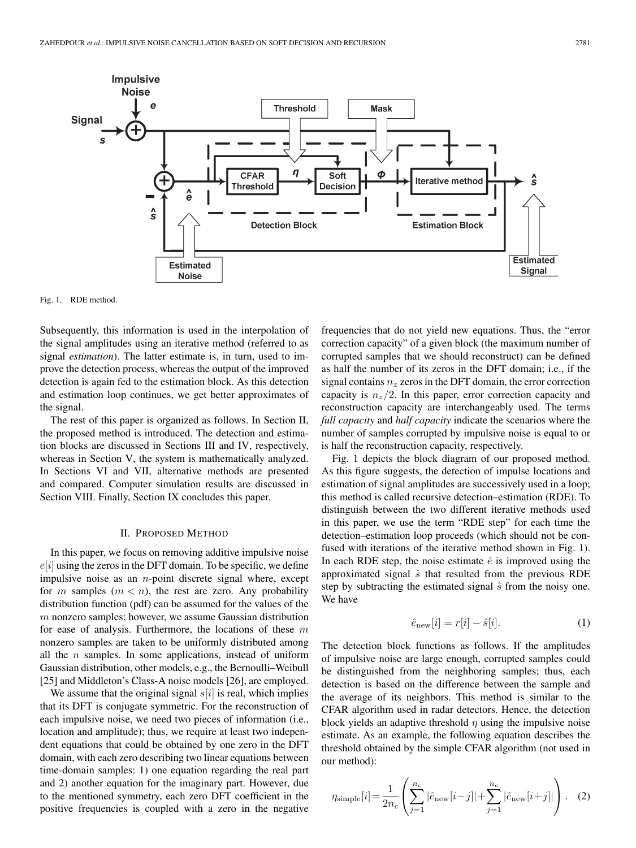

Fig. 1. RDE method.

Subsequently, this information is used in the interpolation of the signal amplitudes using an iterative method (referred to as signal *estimation*). The latter estimate is, in turn, used to improve the detection process, whereas the output of the improved detection is again fed to the estimation block. As this detection and estimation loop continues, we get better approximates of the signal.

The rest of this paper is organized as follows. In Section II, the proposed method is introduced. The detection and estimation blocks are discussed in Sections III and IV, respectively, whereas in Section V, the system is mathematically analyzed. In Sections VI and VII, alternative methods are presented and compared. Computer simulation results are discussed in Section VIII. Finally, Section IX concludes this paper.

# II. PROPOSED METHOD

In this paper, we focus on removing additive impulsive noise  $e[i]$  using the zeros in the DFT domain. To be specific, we define impulsive noise as an  $n$ -point discrete signal where, except for m samples  $(m < n)$ , the rest are zero. Any probability distribution function (pdf) can be assumed for the values of the  $m$  nonzero samples; however, we assume Gaussian distribution for ease of analysis. Furthermore, the locations of these  $m$ nonzero samples are taken to be uniformly distributed among all the  $n$  samples. In some applications, instead of uniform Gaussian distribution, other models, e.g., the Bernoulli–Weibull [25] and Middleton's Class-A noise models [26], are employed.

We assume that the original signal  $s[i]$  is real, which implies that its DFT is conjugate symmetric. For the reconstruction of each impulsive noise, we need two pieces of information (i.e., location and amplitude); thus, we require at least two independent equations that could be obtained by one zero in the DFT domain, with each zero describing two linear equations between time-domain samples: 1) one equation regarding the real part and 2) another equation for the imaginary part. However, due to the mentioned symmetry, each zero DFT coefficient in the positive frequencies is coupled with a zero in the negative

frequencies that do not yield new equations. Thus, the "error correction capacity" of a given block (the maximum number of corrupted samples that we should reconstruct) can be defined as half the number of its zeros in the DFT domain; i.e., if the signal contains  $n_z$  zeros in the DFT domain, the error correction capacity is  $n_z/2$ . In this paper, error correction capacity and reconstruction capacity are interchangeably used. The terms *full capacity* and *half capacity* indicate the scenarios where the number of samples corrupted by impulsive noise is equal to or is half the reconstruction capacity, respectively.

Fig. 1 depicts the block diagram of our proposed method. As this figure suggests, the detection of impulse locations and estimation of signal amplitudes are successively used in a loop; this method is called recursive detection–estimation (RDE). To distinguish between the two different iterative methods used in this paper, we use the term "RDE step" for each time the detection–estimation loop proceeds (which should not be confused with iterations of the iterative method shown in Fig. 1). In each RDE step, the noise estimate  $\hat{e}$  is improved using the approximated signal  $\hat{s}$  that resulted from the previous RDE step by subtracting the estimated signal  $\hat{s}$  from the noisy one. We have

$$
\hat{e}_{\text{new}}[i] = r[i] - \hat{s}[i].\tag{1}
$$

The detection block functions as follows. If the amplitudes of impulsive noise are large enough, corrupted samples could be distinguished from the neighboring samples; thus, each detection is based on the difference between the sample and the average of its neighbors. This method is similar to the CFAR algorithm used in radar detectors. Hence, the detection block yields an adaptive threshold  $\eta$  using the impulsive noise estimate. As an example, the following equation describes the threshold obtained by the simple CFAR algorithm (not used in our method):

$$
\eta_{\text{simple}}[i] = \frac{1}{2n_c} \left( \sum_{j=1}^{n_c} |\hat{e}_{\text{new}}[i-j]| + \sum_{j=1}^{n_c} |\hat{e}_{\text{new}}[i+j]| \right). \tag{2}
$$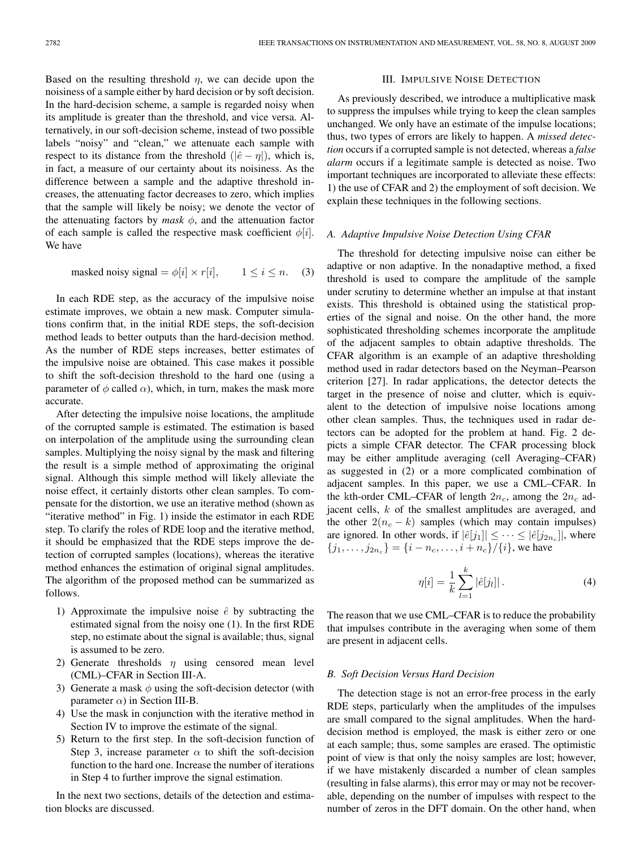Based on the resulting threshold  $\eta$ , we can decide upon the noisiness of a sample either by hard decision or by soft decision. In the hard-decision scheme, a sample is regarded noisy when its amplitude is greater than the threshold, and vice versa. Alternatively, in our soft-decision scheme, instead of two possible labels "noisy" and "clean," we attenuate each sample with respect to its distance from the threshold ( $|\hat{e} - \eta|$ ), which is, in fact, a measure of our certainty about its noisiness. As the difference between a sample and the adaptive threshold increases, the attenuating factor decreases to zero, which implies that the sample will likely be noisy; we denote the vector of the attenuating factors by *mask*  $\phi$ , and the attenuation factor of each sample is called the respective mask coefficient  $\phi[i]$ . We have

masked noisy signal = 
$$
\phi[i] \times r[i]
$$
,  $1 \le i \le n$ . (3)

In each RDE step, as the accuracy of the impulsive noise estimate improves, we obtain a new mask. Computer simulations confirm that, in the initial RDE steps, the soft-decision method leads to better outputs than the hard-decision method. As the number of RDE steps increases, better estimates of the impulsive noise are obtained. This case makes it possible to shift the soft-decision threshold to the hard one (using a parameter of  $\phi$  called  $\alpha$ ), which, in turn, makes the mask more accurate.

After detecting the impulsive noise locations, the amplitude of the corrupted sample is estimated. The estimation is based on interpolation of the amplitude using the surrounding clean samples. Multiplying the noisy signal by the mask and filtering the result is a simple method of approximating the original signal. Although this simple method will likely alleviate the noise effect, it certainly distorts other clean samples. To compensate for the distortion, we use an iterative method (shown as "iterative method" in Fig. 1) inside the estimator in each RDE step. To clarify the roles of RDE loop and the iterative method, it should be emphasized that the RDE steps improve the detection of corrupted samples (locations), whereas the iterative method enhances the estimation of original signal amplitudes. The algorithm of the proposed method can be summarized as follows.

- 1) Approximate the impulsive noise  $\hat{e}$  by subtracting the estimated signal from the noisy one (1). In the first RDE step, no estimate about the signal is available; thus, signal is assumed to be zero.
- 2) Generate thresholds  $\eta$  using censored mean level (CML)–CFAR in Section III-A.
- 3) Generate a mask  $\phi$  using the soft-decision detector (with parameter  $\alpha$ ) in Section III-B.
- 4) Use the mask in conjunction with the iterative method in Section IV to improve the estimate of the signal.
- 5) Return to the first step. In the soft-decision function of Step 3, increase parameter  $\alpha$  to shift the soft-decision function to the hard one. Increase the number of iterations in Step 4 to further improve the signal estimation.

In the next two sections, details of the detection and estimation blocks are discussed.

## III. IMPULSIVE NOISE DETECTION

As previously described, we introduce a multiplicative mask to suppress the impulses while trying to keep the clean samples unchanged. We only have an estimate of the impulse locations; thus, two types of errors are likely to happen. A *missed detection* occurs if a corrupted sample is not detected, whereas a *false alarm* occurs if a legitimate sample is detected as noise. Two important techniques are incorporated to alleviate these effects: 1) the use of CFAR and 2) the employment of soft decision. We explain these techniques in the following sections.

# *A. Adaptive Impulsive Noise Detection Using CFAR*

The threshold for detecting impulsive noise can either be adaptive or non adaptive. In the nonadaptive method, a fixed threshold is used to compare the amplitude of the sample under scrutiny to determine whether an impulse at that instant exists. This threshold is obtained using the statistical properties of the signal and noise. On the other hand, the more sophisticated thresholding schemes incorporate the amplitude of the adjacent samples to obtain adaptive thresholds. The CFAR algorithm is an example of an adaptive thresholding method used in radar detectors based on the Neyman–Pearson criterion [27]. In radar applications, the detector detects the target in the presence of noise and clutter, which is equivalent to the detection of impulsive noise locations among other clean samples. Thus, the techniques used in radar detectors can be adopted for the problem at hand. Fig. 2 depicts a simple CFAR detector. The CFAR processing block may be either amplitude averaging (cell Averaging–CFAR) as suggested in (2) or a more complicated combination of adjacent samples. In this paper, we use a CML–CFAR. In the kth-order CML–CFAR of length  $2n_c$ , among the  $2n_c$  adjacent cells, k of the smallest amplitudes are averaged, and the other  $2(n_c - k)$  samples (which may contain impulses) are ignored. In other words, if  $|\hat{e}[j_1]| \leq \cdots \leq |\hat{e}[j_{2n_c}]|$ , where  ${j_1, \ldots, j_{2n_c}} = {i - n_c, \ldots, i + n_c}/\{i\}$ , we have

$$
\eta[i] = \frac{1}{k} \sum_{l=1}^{k} |\hat{e}[j_l]|.
$$
 (4)

The reason that we use CML–CFAR is to reduce the probability that impulses contribute in the averaging when some of them are present in adjacent cells.

## *B. Soft Decision Versus Hard Decision*

The detection stage is not an error-free process in the early RDE steps, particularly when the amplitudes of the impulses are small compared to the signal amplitudes. When the harddecision method is employed, the mask is either zero or one at each sample; thus, some samples are erased. The optimistic point of view is that only the noisy samples are lost; however, if we have mistakenly discarded a number of clean samples (resulting in false alarms), this error may or may not be recoverable, depending on the number of impulses with respect to the number of zeros in the DFT domain. On the other hand, when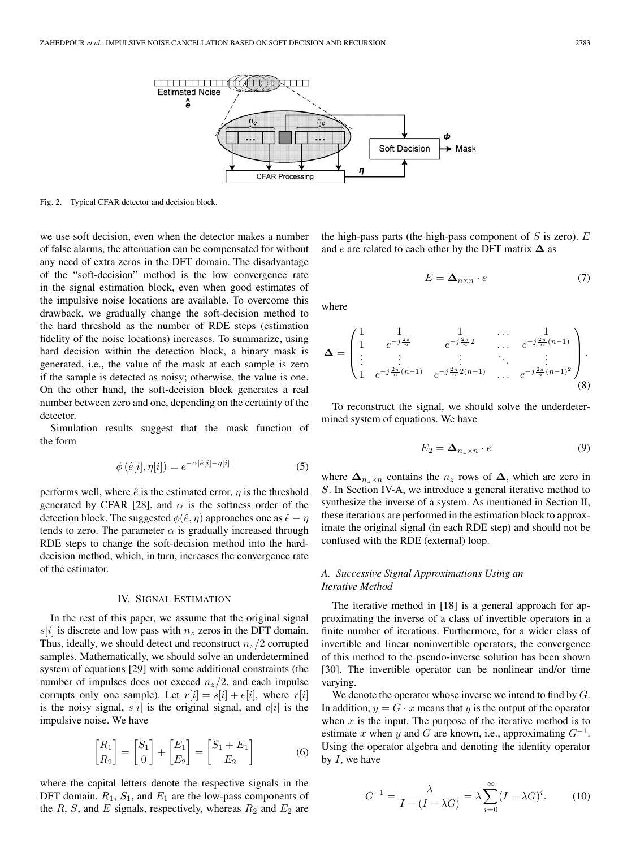

Fig. 2. Typical CFAR detector and decision block.

we use soft decision, even when the detector makes a number of false alarms, the attenuation can be compensated for without any need of extra zeros in the DFT domain. The disadvantage of the "soft-decision" method is the low convergence rate in the signal estimation block, even when good estimates of the impulsive noise locations are available. To overcome this drawback, we gradually change the soft-decision method to the hard threshold as the number of RDE steps (estimation fidelity of the noise locations) increases. To summarize, using hard decision within the detection block, a binary mask is generated, i.e., the value of the mask at each sample is zero if the sample is detected as noisy; otherwise, the value is one. On the other hand, the soft-decision block generates a real number between zero and one, depending on the certainty of the detector.

Simulation results suggest that the mask function of the form

$$
\phi\left(\hat{e}[i],\eta[i]\right) = e^{-\alpha|\hat{e}[i]-\eta[i]|} \tag{5}
$$

performs well, where  $\hat{e}$  is the estimated error,  $\eta$  is the threshold generated by CFAR [28], and  $\alpha$  is the softness order of the detection block. The suggested  $\phi(\hat{e}, \eta)$  approaches one as  $\hat{e} - \eta$ tends to zero. The parameter  $\alpha$  is gradually increased through RDE steps to change the soft-decision method into the harddecision method, which, in turn, increases the convergence rate of the estimator.

# IV. SIGNAL ESTIMATION

In the rest of this paper, we assume that the original signal  $s[i]$  is discrete and low pass with  $n_z$  zeros in the DFT domain. Thus, ideally, we should detect and reconstruct  $n_z/2$  corrupted samples. Mathematically, we should solve an underdetermined system of equations [29] with some additional constraints (the number of impulses does not exceed  $n_z/2$ , and each impulse corrupts only one sample). Let  $r[i] = s[i] + e[i]$ , where  $r[i]$ is the noisy signal,  $s[i]$  is the original signal, and  $e[i]$  is the impulsive noise. We have

$$
\begin{bmatrix} R_1 \\ R_2 \end{bmatrix} = \begin{bmatrix} S_1 \\ 0 \end{bmatrix} + \begin{bmatrix} E_1 \\ E_2 \end{bmatrix} = \begin{bmatrix} S_1 + E_1 \\ E_2 \end{bmatrix}
$$
 (6)

where the capital letters denote the respective signals in the DFT domain.  $R_1$ ,  $S_1$ , and  $E_1$  are the low-pass components of the R, S, and E signals, respectively, whereas  $R_2$  and  $E_2$  are

the high-pass parts (the high-pass component of  $S$  is zero).  $E$ and e are related to each other by the DFT matrix  $\Delta$  as

$$
E = \Delta_{n \times n} \cdot e \tag{7}
$$

where

$$
\mathbf{\Delta} = \begin{pmatrix} 1 & 1 & 1 & \dots & 1 \\ 1 & e^{-j\frac{2\pi}{n}} & e^{-j\frac{2\pi}{n}2} & \dots & e^{-j\frac{2\pi}{n}(n-1)} \\ \vdots & \vdots & \vdots & \ddots & \vdots \\ 1 & e^{-j\frac{2\pi}{n}(n-1)} & e^{-j\frac{2\pi}{n}2(n-1)} & \dots & e^{-j\frac{2\pi}{n}(n-1)^2} \end{pmatrix}.
$$
(8)

To reconstruct the signal, we should solve the underdetermined system of equations. We have

$$
E_2 = \Delta_{n_z \times n} \cdot e \tag{9}
$$

where  $\Delta_{n_z \times n}$  contains the  $n_z$  rows of  $\Delta$ , which are zero in S. In Section IV-A, we introduce a general iterative method to synthesize the inverse of a system. As mentioned in Section II, these iterations are performed in the estimation block to approximate the original signal (in each RDE step) and should not be confused with the RDE (external) loop.

# *A. Successive Signal Approximations Using an Iterative Method*

The iterative method in [18] is a general approach for approximating the inverse of a class of invertible operators in a finite number of iterations. Furthermore, for a wider class of invertible and linear noninvertible operators, the convergence of this method to the pseudo-inverse solution has been shown [30]. The invertible operator can be nonlinear and/or time varying.

We denote the operator whose inverse we intend to find by  $G$ . In addition,  $y = G \cdot x$  means that y is the output of the operator when  $x$  is the input. The purpose of the iterative method is to estimate x when y and G are known, i.e., approximating  $G^{-1}$ . Using the operator algebra and denoting the identity operator by  $I$ , we have

$$
G^{-1} = \frac{\lambda}{I - (I - \lambda G)} = \lambda \sum_{i=0}^{\infty} (I - \lambda G)^i.
$$
 (10)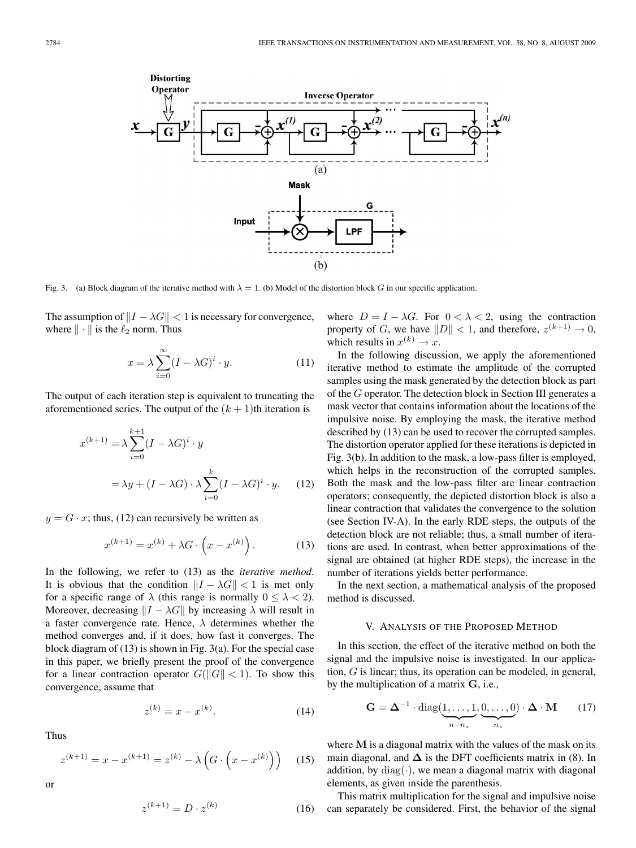**Distorting** Operator **Inverse Operator**  $\left( 2\right)$ G  $(a)$ **Mask** Input  $(b)$ 

Fig. 3. (a) Block diagram of the iterative method with  $\lambda = 1$ . (b) Model of the distortion block G in our specific application.

The assumption of  $||I - \lambda G|| < 1$  is necessary for convergence, where  $\|\cdot\|$  is the  $\ell_2$  norm. Thus

$$
x = \lambda \sum_{i=0}^{\infty} (I - \lambda G)^i \cdot y.
$$
 (11)

The output of each iteration step is equivalent to truncating the aforementioned series. The output of the  $(k + 1)$ th iteration is

$$
x^{(k+1)} = \lambda \sum_{i=0}^{k+1} (I - \lambda G)^i \cdot y
$$
  
=  $\lambda y + (I - \lambda G) \cdot \lambda \sum_{i=0}^{k} (I - \lambda G)^i \cdot y.$  (12)

 $y = G \cdot x$ ; thus, (12) can recursively be written as

$$
x^{(k+1)} = x^{(k)} + \lambda G \cdot \left(x - x^{(k)}\right). \tag{13}
$$

In the following, we refer to (13) as the *iterative method*. It is obvious that the condition  $||I - \lambda G|| < 1$  is met only for a specific range of  $\lambda$  (this range is normally  $0 \leq \lambda < 2$ ). Moreover, decreasing  $||I - \lambda G||$  by increasing  $\lambda$  will result in a faster convergence rate. Hence,  $\lambda$  determines whether the method converges and, if it does, how fast it converges. The block diagram of (13) is shown in Fig. 3(a). For the special case in this paper, we briefly present the proof of the convergence for a linear contraction operator  $G(||G|| < 1)$ . To show this convergence, assume that

$$
z^{(k)} = x - x^{(k)}.\t(14)
$$

Thus

$$
z^{(k+1)} = x - x^{(k+1)} = z^{(k)} - \lambda \left( G \cdot \left( x - x^{(k)} \right) \right) \tag{15}
$$

or

$$
z^{(k+1)} = D \cdot z^{(k)} \tag{16}
$$

where  $D = I - \lambda G$ . For  $0 < \lambda < 2$ , using the contraction property of G, we have  $||D|| < 1$ , and therefore,  $z^{(k+1)} \rightarrow 0$ , which results in  $x^{(k)} \rightarrow x$ .

In the following discussion, we apply the aforementioned iterative method to estimate the amplitude of the corrupted samples using the mask generated by the detection block as part of the G operator. The detection block in Section III generates a mask vector that contains information about the locations of the impulsive noise. By employing the mask, the iterative method described by (13) can be used to recover the corrupted samples. The distortion operator applied for these iterations is depicted in Fig. 3(b). In addition to the mask, a low-pass filter is employed, which helps in the reconstruction of the corrupted samples. Both the mask and the low-pass filter are linear contraction operators; consequently, the depicted distortion block is also a linear contraction that validates the convergence to the solution (see Section IV-A). In the early RDE steps, the outputs of the detection block are not reliable; thus, a small number of iterations are used. In contrast, when better approximations of the signal are obtained (at higher RDE steps), the increase in the number of iterations yields better performance.

In the next section, a mathematical analysis of the proposed method is discussed.

### V. ANALYSIS OF THE PROPOSED METHOD

In this section, the effect of the iterative method on both the signal and the impulsive noise is investigated. In our application, G is linear; thus, its operation can be modeled, in general, by the multiplication of a matrix **G**, i.e.,

$$
\mathbf{G} = \boldsymbol{\Delta}^{-1} \cdot \text{diag}(\underbrace{1, \dots, 1}_{n-n_z}, \underbrace{0, \dots, 0}_{n_z}) \cdot \boldsymbol{\Delta} \cdot \mathbf{M} \qquad (17)
$$

where **M** is a diagonal matrix with the values of the mask on its main diagonal, and  $\Delta$  is the DFT coefficients matrix in (8). In addition, by  $diag(\cdot)$ , we mean a diagonal matrix with diagonal elements, as given inside the parenthesis.

This matrix multiplication for the signal and impulsive noise can separately be considered. First, the behavior of the signal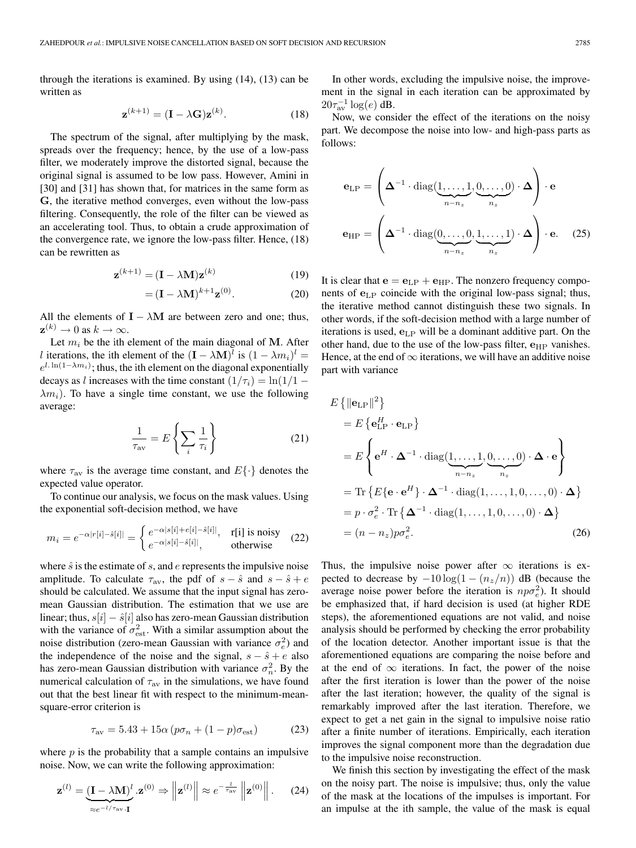through the iterations is examined. By using (14), (13) can be written as

$$
\mathbf{z}^{(k+1)} = (\mathbf{I} - \lambda \mathbf{G}) \mathbf{z}^{(k)}.
$$
 (18)

The spectrum of the signal, after multiplying by the mask, spreads over the frequency; hence, by the use of a low-pass filter, we moderately improve the distorted signal, because the original signal is assumed to be low pass. However, Amini in [30] and [31] has shown that, for matrices in the same form as **G**, the iterative method converges, even without the low-pass filtering. Consequently, the role of the filter can be viewed as an accelerating tool. Thus, to obtain a crude approximation of the convergence rate, we ignore the low-pass filter. Hence, (18) can be rewritten as

$$
\mathbf{z}^{(k+1)} = (\mathbf{I} - \lambda \mathbf{M}) \mathbf{z}^{(k)} \tag{19}
$$

$$
= (\mathbf{I} - \lambda \mathbf{M})^{k+1} \mathbf{z}^{(0)}.
$$
 (20)

All the elements of  $I - \lambda M$  are between zero and one; thus,  $\mathbf{z}^{(k)} \to 0$  as  $k \to \infty$ .

Let  $m_i$  be the ith element of the main diagonal of M. After l iterations, the ith element of the  $(I - \lambda M)^l$  is  $(1 - \lambda m_i)^l$  $e^{l.\ln(1-\lambda m_i)}$ ; thus, the ith element on the diagonal exponentially decays as l increases with the time constant  $(1/\tau_i) = \ln(1/1 \lambda m_i$ ). To have a single time constant, we use the following average:

$$
\frac{1}{\tau_{\text{av}}} = E\left\{ \sum_{i} \frac{1}{\tau_i} \right\} \tag{21}
$$

where  $\tau_{av}$  is the average time constant, and  $E\{\cdot\}$  denotes the expected value operator.

To continue our analysis, we focus on the mask values. Using the exponential soft-decision method, we have

$$
m_i = e^{-\alpha|r[i] - \hat{s}[i]|} = \begin{cases} e^{-\alpha|s[i] + e[i] - \hat{s}[i]|}, & \text{r[i] is noisy} \\ e^{-\alpha|s[i] - \hat{s}[i]|}, & \text{otherwise} \end{cases}
$$
(22)

where  $\hat{s}$  is the estimate of  $s$ , and  $e$  represents the impulsive noise amplitude. To calculate  $\tau_{av}$ , the pdf of  $s - \hat{s}$  and  $s - \hat{s} + e$ should be calculated. We assume that the input signal has zeromean Gaussian distribution. The estimation that we use are linear; thus,  $s[i] - \hat{s}[i]$  also has zero-mean Gaussian distribution with the variance of  $\sigma_{\text{est}}^2$ . With a similar assumption about the noise distribution (zero-mean Gaussian with variance  $\sigma_e^2$ ) and the independence of the noise and the signal,  $s - \hat{s} + e$  also has zero-mean Gaussian distribution with variance  $\sigma_n^2$ . By the numerical calculation of  $\tau_{av}$  in the simulations, we have found out that the best linear fit with respect to the minimum-meansquare-error criterion is

$$
\tau_{\text{av}} = 5.43 + 15\alpha \left( p\sigma_n + (1 - p)\sigma_{\text{est}} \right) \tag{23}
$$

where  $p$  is the probability that a sample contains an impulsive noise. Now, we can write the following approximation:

$$
\mathbf{z}^{(l)} = \underbrace{(\mathbf{I} - \lambda \mathbf{M})^l}_{\approx e^{-l/\tau_{\text{av}}}\cdot \mathbf{I}} \cdot \mathbf{z}^{(0)} \Rightarrow \left\| \mathbf{z}^{(l)} \right\| \approx e^{-\frac{l}{\tau_{\text{av}}}} \left\| \mathbf{z}^{(0)} \right\| \,. \tag{24}
$$

In other words, excluding the impulsive noise, the improvement in the signal in each iteration can be approximated by  $20\tau_{\text{av}}^{-1} \log(e) d\text{B}.$ 

Now, we consider the effect of the iterations on the noisy part. We decompose the noise into low- and high-pass parts as follows:

$$
\mathbf{e}_{\text{LP}} = \left(\Delta^{-1} \cdot \text{diag}(\underbrace{1, \dots, 1}_{n-n_z}, \underbrace{0, \dots, 0}_{n_z}) \cdot \Delta\right) \cdot \mathbf{e}
$$

$$
\mathbf{e}_{\text{HP}} = \left(\Delta^{-1} \cdot \text{diag}(\underbrace{0, \dots, 0}_{n-n_z}, \underbrace{1, \dots, 1}_{n_z}) \cdot \Delta\right) \cdot \mathbf{e}. \quad (25)
$$

It is clear that  $\mathbf{e} = \mathbf{e}_{\text{LP}} + \mathbf{e}_{\text{HP}}$ . The nonzero frequency components of **e**LP coincide with the original low-pass signal; thus, the iterative method cannot distinguish these two signals. In other words, if the soft-decision method with a large number of iterations is used,  $e_{LP}$  will be a dominant additive part. On the other hand, due to the use of the low-pass filter,  $e_{HP}$  vanishes. Hence, at the end of  $\infty$  iterations, we will have an additive noise part with variance

$$
E\{\|\mathbf{e}_{\text{LP}}\|^2\}
$$
  
=  $E\{e_{\text{LP}}^H \cdot \mathbf{e}_{\text{LP}}\}$   
=  $E\{e^H \cdot \mathbf{\Delta}^{-1} \cdot \text{diag}(\underbrace{1, \ldots, 1}_{n-n_z}, \underbrace{0, \ldots, 0}_{n_z}) \cdot \mathbf{\Delta} \cdot \mathbf{e}\}$   
= Tr  $\{E\{\mathbf{e} \cdot \mathbf{e}^H\} \cdot \mathbf{\Delta}^{-1} \cdot \text{diag}(1, \ldots, 1, 0, \ldots, 0) \cdot \mathbf{\Delta}\}$   
=  $p \cdot \sigma_e^2 \cdot \text{Tr} \{\mathbf{\Delta}^{-1} \cdot \text{diag}(1, \ldots, 1, 0, \ldots, 0) \cdot \mathbf{\Delta}\}$   
=  $(n - n_z)p\sigma_e^2$ . (26)

Thus, the impulsive noise power after  $\infty$  iterations is expected to decrease by  $-10 \log(1 - (n_z/n))$  dB (because the average noise power before the iteration is  $np\sigma_e^2$ ). It should be emphasized that, if hard decision is used (at higher RDE steps), the aforementioned equations are not valid, and noise analysis should be performed by checking the error probability of the location detector. Another important issue is that the aforementioned equations are comparing the noise before and at the end of  $\infty$  iterations. In fact, the power of the noise after the first iteration is lower than the power of the noise after the last iteration; however, the quality of the signal is remarkably improved after the last iteration. Therefore, we expect to get a net gain in the signal to impulsive noise ratio after a finite number of iterations. Empirically, each iteration improves the signal component more than the degradation due to the impulsive noise reconstruction.

We finish this section by investigating the effect of the mask on the noisy part. The noise is impulsive; thus, only the value of the mask at the locations of the impulses is important. For an impulse at the ith sample, the value of the mask is equal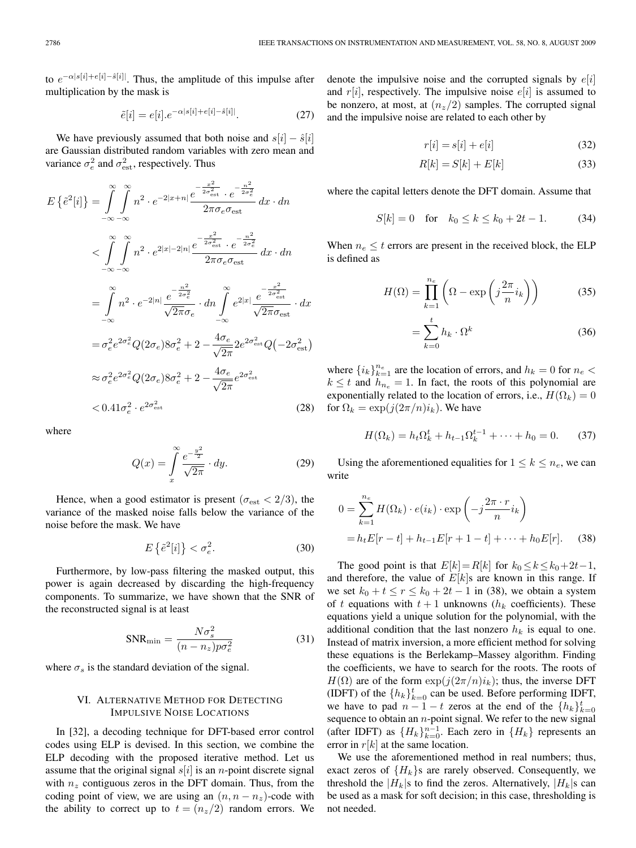to  $e^{-\alpha |s[i] + e[i] - \hat{s}[i]|}$ . Thus, the amplitude of this impulse after multiplication by the mask is

$$
\tilde{e}[i] = e[i].e^{-\alpha|s[i] + e[i] - \hat{s}[i]|}.
$$
\n(27)

We have previously assumed that both noise and  $s[i] - \hat{s}[i]$ are Gaussian distributed random variables with zero mean and variance  $\sigma_e^2$  and  $\sigma_{est}^2$ , respectively. Thus

$$
E\left\{\tilde{e}^{2}[i]\right\} = \int_{-\infty}^{\infty} \int_{-\infty}^{\infty} n^{2} \cdot e^{-2|x+n|} \frac{e^{-\frac{x^{2}}{2\sigma_{\text{est}}^{2}}} \cdot e^{-\frac{n^{2}}{2\sigma_{\text{est}}^{2}}}}{2\pi\sigma_{e}\sigma_{\text{est}}} dx \cdot dn
$$
  

$$
< \int_{-\infty}^{\infty} \int_{-\infty}^{\infty} n^{2} \cdot e^{2|x|-2|n|} \frac{e^{-\frac{x^{2}}{2\sigma_{\text{est}}^{2}}} \cdot e^{-\frac{n^{2}}{2\sigma_{\text{est}}^{2}}}}{2\pi\sigma_{e}\sigma_{\text{est}}} dx \cdot dn
$$
  

$$
= \int_{-\infty}^{\infty} n^{2} \cdot e^{-2|n|} \frac{e^{-\frac{n^{2}}{2\sigma_{\text{est}}^{2}}} \cdot dn \int_{-\infty}^{\infty} e^{2|x|} \frac{e^{-\frac{x^{2}}{2\sigma_{\text{est}}^{2}}} \cdot dx}{\sqrt{2\pi\sigma_{\text{est}}}} \cdot dx
$$
  

$$
= \sigma_{e}^{2} e^{2\sigma_{e}^{2}} Q(2\sigma_{e}) 8\sigma_{e}^{2} + 2 - \frac{4\sigma_{e}}{\sqrt{2\pi}} 2e^{2\sigma_{\text{est}}^{2}} Q(-2\sigma_{\text{est}}^{2})
$$
  

$$
\approx \sigma_{e}^{2} e^{2\sigma_{e}^{2}} Q(2\sigma_{e}) 8\sigma_{e}^{2} + 2 - \frac{4\sigma_{e}}{\sqrt{2\pi}} e^{2\sigma_{\text{est}}^{2}}
$$
  

$$
< 0.41\sigma_{e}^{2} \cdot e^{2\sigma_{\text{est}}^{2}}
$$
 (28)

where

$$
Q(x) = \int_{x}^{\infty} \frac{e^{-\frac{y^2}{2}}}{\sqrt{2\pi}} \cdot dy.
$$
 (29)

Hence, when a good estimator is present ( $\sigma_{\text{est}} < 2/3$ ), the variance of the masked noise falls below the variance of the noise before the mask. We have

$$
E\left\{\tilde{e}^2[i]\right\} < \sigma_e^2. \tag{30}
$$

Furthermore, by low-pass filtering the masked output, this power is again decreased by discarding the high-frequency components. To summarize, we have shown that the SNR of the reconstructed signal is at least

$$
SNR_{\min} = \frac{N\sigma_s^2}{(n - n_z)p\sigma_e^2}
$$
 (31)

where  $\sigma_s$  is the standard deviation of the signal.

# VI. ALTERNATIVE METHOD FOR DETECTING IMPULSIVE NOISE LOCATIONS

In [32], a decoding technique for DFT-based error control codes using ELP is devised. In this section, we combine the ELP decoding with the proposed iterative method. Let us assume that the original signal  $s[i]$  is an *n*-point discrete signal with  $n_z$  contiguous zeros in the DFT domain. Thus, from the coding point of view, we are using an  $(n, n - n_z)$ -code with the ability to correct up to  $t = (n_z/2)$  random errors. We denote the impulsive noise and the corrupted signals by  $e[i]$ and  $r[i]$ , respectively. The impulsive noise  $e[i]$  is assumed to be nonzero, at most, at  $(n_z/2)$  samples. The corrupted signal and the impulsive noise are related to each other by

$$
r[i] = s[i] + e[i] \tag{32}
$$

$$
R[k] = S[k] + E[k] \tag{33}
$$

where the capital letters denote the DFT domain. Assume that

$$
S[k] = 0 \quad \text{for} \quad k_0 \le k \le k_0 + 2t - 1. \tag{34}
$$

When  $n_e \leq t$  errors are present in the received block, the ELP is defined as

$$
H(\Omega) = \prod_{k=1}^{n_e} \left( \Omega - \exp\left( j \frac{2\pi}{n} i_k \right) \right) \tag{35}
$$

$$
=\sum_{k=0}^{t}h_k\cdot\Omega^k\tag{36}
$$

where  $\{i_k\}_{k=1}^{n_e}$  are the location of errors, and  $h_k = 0$  for  $n_e <$  $k \leq t$  and  $h_{n_e} = 1$ . In fact, the roots of this polynomial are exponentially related to the location of errors, i.e.,  $H(\Omega_k)=0$ for  $\Omega_k = \exp(j(2\pi/n)i_k)$ . We have

$$
H(\Omega_k) = h_t \Omega_k^t + h_{t-1} \Omega_k^{t-1} + \dots + h_0 = 0.
$$
 (37)

Using the aforementioned equalities for  $1 \leq k \leq n_e$ , we can write

$$
0 = \sum_{k=1}^{n_e} H(\Omega_k) \cdot e(i_k) \cdot \exp\left(-j\frac{2\pi \cdot r}{n} i_k\right)
$$
  
=  $h_t E[r - t] + h_{t-1} E[r + 1 - t] + \dots + h_0 E[r].$  (38)

The good point is that  $E[k]=R[k]$  for  $k_0 \le k \le k_0+2t-1$ , and therefore, the value of  $E[k]$ s are known in this range. If we set  $k_0 + t \le r \le k_0 + 2t - 1$  in (38), we obtain a system of t equations with  $t + 1$  unknowns ( $h_k$  coefficients). These equations yield a unique solution for the polynomial, with the additional condition that the last nonzero  $h_k$  is equal to one. Instead of matrix inversion, a more efficient method for solving these equations is the Berlekamp–Massey algorithm. Finding the coefficients, we have to search for the roots. The roots of  $H(\Omega)$  are of the form  $\exp(j(2\pi/n)i_k)$ ; thus, the inverse DFT (IDFT) of the  $\{h_k\}_{k=0}^t$  can be used. Before performing IDFT, we have to pad  $n-1-t$  zeros at the end of the  $\{h_k\}_{k=0}^t$ sequence to obtain an  $n$ -point signal. We refer to the new signal (after IDFT) as  ${H_k}_{k=0}^{n-1}$ . Each zero in  ${H_k}$  represents an error in  $r[k]$  at the same location.

We use the aforementioned method in real numbers; thus, exact zeros of  ${H_k}$ s are rarely observed. Consequently, we threshold the  $|H_k|$ s to find the zeros. Alternatively,  $|H_k|$ s can be used as a mask for soft decision; in this case, thresholding is not needed.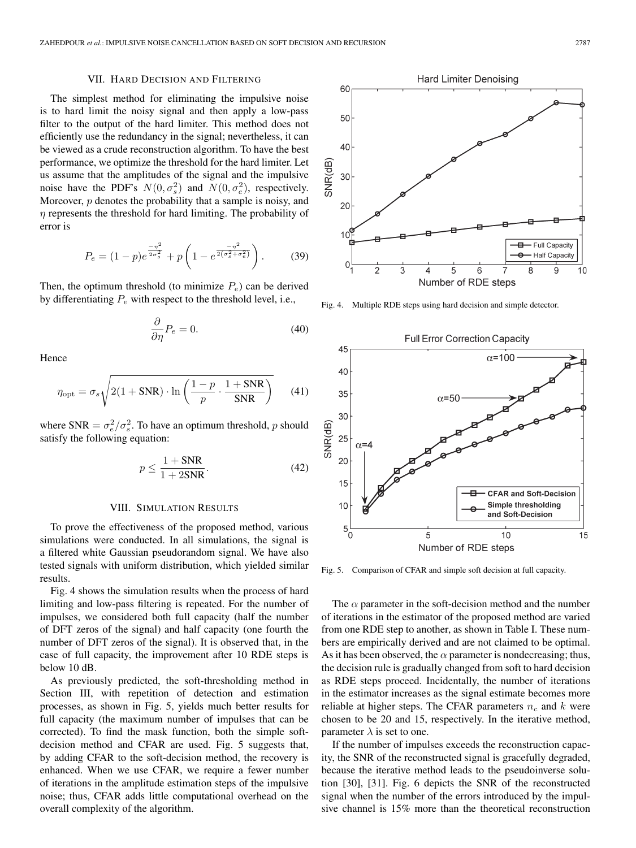## VII. HARD DECISION AND FILTERING

The simplest method for eliminating the impulsive noise is to hard limit the noisy signal and then apply a low-pass filter to the output of the hard limiter. This method does not efficiently use the redundancy in the signal; nevertheless, it can be viewed as a crude reconstruction algorithm. To have the best performance, we optimize the threshold for the hard limiter. Let us assume that the amplitudes of the signal and the impulsive noise have the PDF's  $N(0, \sigma_s^2)$  and  $N(0, \sigma_e^2)$ , respectively. Moreover,  $p$  denotes the probability that a sample is noisy, and  $\eta$  represents the threshold for hard limiting. The probability of error is

$$
P_e = (1 - p)e^{\frac{-\eta^2}{2\sigma_s^2}} + p\left(1 - e^{\frac{-\eta^2}{2(\sigma_s^2 + \sigma_e^2)}}\right). \tag{39}
$$

Then, the optimum threshold (to minimize  $P_e$ ) can be derived by differentiating  $P_e$  with respect to the threshold level, i.e.,

$$
\frac{\partial}{\partial \eta} P_e = 0.
$$
\n(40)

Hence

$$
\eta_{\text{opt}} = \sigma_s \sqrt{2(1 + \text{SNR}) \cdot \ln\left(\frac{1 - p}{p} \cdot \frac{1 + \text{SNR}}{\text{SNR}}\right)} \tag{41}
$$

where SNR =  $\sigma_e^2/\sigma_s^2$ . To have an optimum threshold, p should satisfy the following equation:

$$
p \le \frac{1 + \text{SNR}}{1 + 2\text{SNR}}.\tag{42}
$$

#### VIII. SIMULATION RESULTS

To prove the effectiveness of the proposed method, various simulations were conducted. In all simulations, the signal is a filtered white Gaussian pseudorandom signal. We have also tested signals with uniform distribution, which yielded similar results.

Fig. 4 shows the simulation results when the process of hard limiting and low-pass filtering is repeated. For the number of impulses, we considered both full capacity (half the number of DFT zeros of the signal) and half capacity (one fourth the number of DFT zeros of the signal). It is observed that, in the case of full capacity, the improvement after 10 RDE steps is below 10 dB.

As previously predicted, the soft-thresholding method in Section III, with repetition of detection and estimation processes, as shown in Fig. 5, yields much better results for full capacity (the maximum number of impulses that can be corrected). To find the mask function, both the simple softdecision method and CFAR are used. Fig. 5 suggests that, by adding CFAR to the soft-decision method, the recovery is enhanced. When we use CFAR, we require a fewer number of iterations in the amplitude estimation steps of the impulsive noise; thus, CFAR adds little computational overhead on the overall complexity of the algorithm.



Fig. 4. Multiple RDE steps using hard decision and simple detector.



Fig. 5. Comparison of CFAR and simple soft decision at full capacity.

The  $\alpha$  parameter in the soft-decision method and the number of iterations in the estimator of the proposed method are varied from one RDE step to another, as shown in Table I. These numbers are empirically derived and are not claimed to be optimal. As it has been observed, the  $\alpha$  parameter is nondecreasing; thus, the decision rule is gradually changed from soft to hard decision as RDE steps proceed. Incidentally, the number of iterations in the estimator increases as the signal estimate becomes more reliable at higher steps. The CFAR parameters  $n_c$  and k were chosen to be 20 and 15, respectively. In the iterative method, parameter  $\lambda$  is set to one.

If the number of impulses exceeds the reconstruction capacity, the SNR of the reconstructed signal is gracefully degraded, because the iterative method leads to the pseudoinverse solution [30], [31]. Fig. 6 depicts the SNR of the reconstructed signal when the number of the errors introduced by the impulsive channel is 15% more than the theoretical reconstruction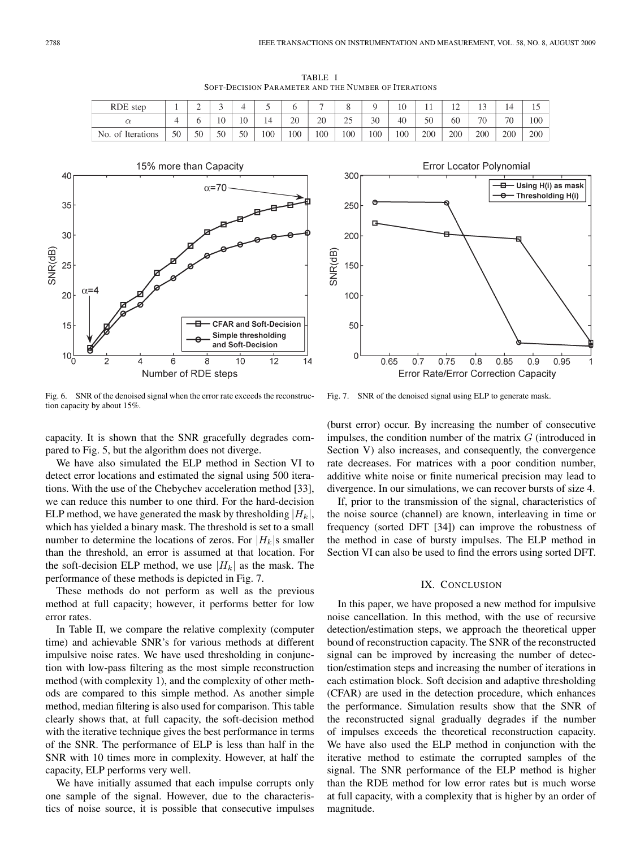| RDE step             |    |    |    |    |     |     | $\overline{\phantom{a}}$ |                         |     | 10  | . . | $\sim$<br>$\overline{1}$ | $\sim$ |     | . . |
|----------------------|----|----|----|----|-----|-----|--------------------------|-------------------------|-----|-----|-----|--------------------------|--------|-----|-----|
| u                    |    |    | 10 | 10 |     | 20  | 20                       | $\sim$ $\epsilon$<br>رے | 30  | 40  | 50  | 60                       | 70     | 70  | 100 |
| of Iterations<br>No. | 50 | 50 | 50 | 50 | 100 | 100 | 100                      | 100                     | 100 | 100 | 200 | 200                      | 200    | 200 | 200 |

C

0.65

 $0.7$ 

TABLE I SOFT-DECISION PARAMETER AND THE NUMBER OF ITERATIONS



**Error Locator Polynomial** 300 Using H(i) as mask Ð. Thresholding H(i) ė 250 200 150 100 50

Fig. 6. SNR of the denoised signal when the error rate exceeds the reconstruction capacity by about 15%.

capacity. It is shown that the SNR gracefully degrades compared to Fig. 5, but the algorithm does not diverge.

We have also simulated the ELP method in Section VI to detect error locations and estimated the signal using 500 iterations. With the use of the Chebychev acceleration method [33], we can reduce this number to one third. For the hard-decision ELP method, we have generated the mask by thresholding  $|H_k|$ , which has yielded a binary mask. The threshold is set to a small number to determine the locations of zeros. For  $|H_k|$ s smaller than the threshold, an error is assumed at that location. For the soft-decision ELP method, we use  $|H_k|$  as the mask. The performance of these methods is depicted in Fig. 7.

These methods do not perform as well as the previous method at full capacity; however, it performs better for low error rates.

In Table II, we compare the relative complexity (computer time) and achievable SNR's for various methods at different impulsive noise rates. We have used thresholding in conjunction with low-pass filtering as the most simple reconstruction method (with complexity 1), and the complexity of other methods are compared to this simple method. As another simple method, median filtering is also used for comparison. This table clearly shows that, at full capacity, the soft-decision method with the iterative technique gives the best performance in terms of the SNR. The performance of ELP is less than half in the SNR with 10 times more in complexity. However, at half the capacity, ELP performs very well.

We have initially assumed that each impulse corrupts only one sample of the signal. However, due to the characteristics of noise source, it is possible that consecutive impulses

Fig. 7. SNR of the denoised signal using ELP to generate mask.

0.75

 $0.8$ 

Error Rate/Error Correction Capacity

0.85

 $0.9$ 

0.95

(burst error) occur. By increasing the number of consecutive impulses, the condition number of the matrix G (introduced in Section V) also increases, and consequently, the convergence rate decreases. For matrices with a poor condition number, additive white noise or finite numerical precision may lead to divergence. In our simulations, we can recover bursts of size 4.

If, prior to the transmission of the signal, characteristics of the noise source (channel) are known, interleaving in time or frequency (sorted DFT [34]) can improve the robustness of the method in case of bursty impulses. The ELP method in Section VI can also be used to find the errors using sorted DFT.

### IX. CONCLUSION

In this paper, we have proposed a new method for impulsive noise cancellation. In this method, with the use of recursive detection/estimation steps, we approach the theoretical upper bound of reconstruction capacity. The SNR of the reconstructed signal can be improved by increasing the number of detection/estimation steps and increasing the number of iterations in each estimation block. Soft decision and adaptive thresholding (CFAR) are used in the detection procedure, which enhances the performance. Simulation results show that the SNR of the reconstructed signal gradually degrades if the number of impulses exceeds the theoretical reconstruction capacity. We have also used the ELP method in conjunction with the iterative method to estimate the corrupted samples of the signal. The SNR performance of the ELP method is higher than the RDE method for low error rates but is much worse at full capacity, with a complexity that is higher by an order of magnitude.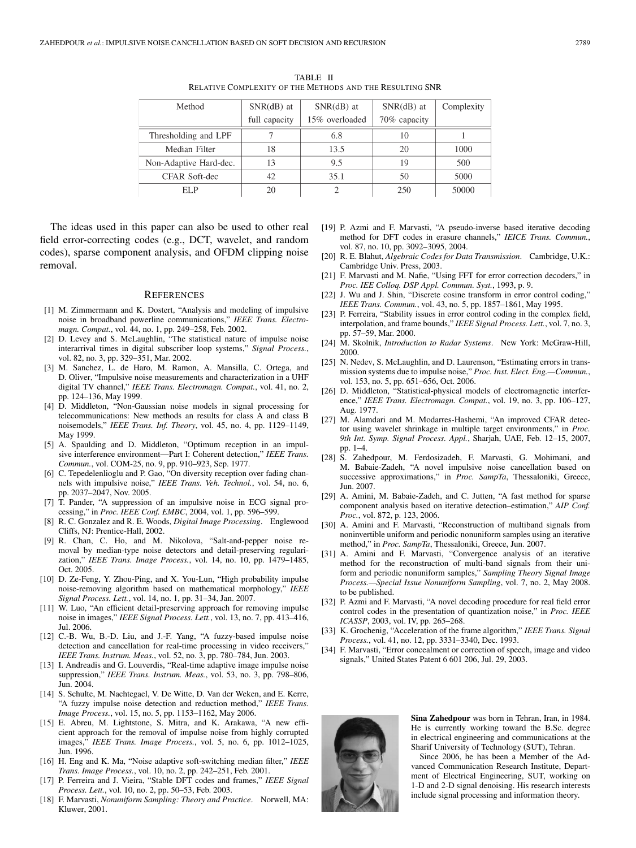| Method                 | $SNR(dB)$ at  | $SNR(dB)$ at   | $SNR(dB)$ at | Complexity |  |
|------------------------|---------------|----------------|--------------|------------|--|
|                        | full capacity | 15% overloaded | 70% capacity |            |  |
| Thresholding and LPF   |               | 6.8            | 10           |            |  |
| Median Filter          | 18            | 13.5           | 20           | 1000       |  |
| Non-Adaptive Hard-dec. | 13            | 9.5            | 19           | 500        |  |
| CFAR Soft-dec          | 42            | 35.1           | 50           | 5000       |  |
| EL P                   | 20            |                | 250          | 50000      |  |

TABLE II RELATIVE COMPLEXITY OF THE METHODS AND THE RESULTING SNR

The ideas used in this paper can also be used to other real field error-correcting codes (e.g., DCT, wavelet, and random codes), sparse component analysis, and OFDM clipping noise removal.

#### **REFERENCES**

- [1] M. Zimmermann and K. Dostert, "Analysis and modeling of impulsive noise in broadband powerline communications," *IEEE Trans. Electromagn. Compat.*, vol. 44, no. 1, pp. 249–258, Feb. 2002.
- [2] D. Levey and S. McLaughlin, "The statistical nature of impulse noise interarrival times in digital subscriber loop systems," *Signal Process.*, vol. 82, no. 3, pp. 329–351, Mar. 2002.
- [3] M. Sanchez, L. de Haro, M. Ramon, A. Mansilla, C. Ortega, and D. Oliver, "Impulsive noise measurements and characterization in a UHF digital TV channel," *IEEE Trans. Electromagn. Compat.*, vol. 41, no. 2, pp. 124–136, May 1999.
- [4] D. Middleton, "Non-Gaussian noise models in signal processing for telecommunications: New methods an results for class A and class B noisemodels," *IEEE Trans. Inf. Theory*, vol. 45, no. 4, pp. 1129–1149, May 1999.
- [5] A. Spaulding and D. Middleton, "Optimum reception in an impulsive interference environment—Part I: Coherent detection," *IEEE Trans. Commun.*, vol. COM-25, no. 9, pp. 910–923, Sep. 1977.
- [6] C. Tepedelenlioglu and P. Gao, "On diversity reception over fading channels with impulsive noise," *IEEE Trans. Veh. Technol.*, vol. 54, no. 6, pp. 2037–2047, Nov. 2005.
- [7] T. Pander, "A suppression of an impulsive noise in ECG signal processing," in *Proc. IEEE Conf. EMBC*, 2004, vol. 1, pp. 596–599.
- [8] R. C. Gonzalez and R. E. Woods, *Digital Image Processing*. Englewood Cliffs, NJ: Prentice-Hall, 2002.
- [9] R. Chan, C. Ho, and M. Nikolova, "Salt-and-pepper noise removal by median-type noise detectors and detail-preserving regularization," *IEEE Trans. Image Process.*, vol. 14, no. 10, pp. 1479–1485, Oct. 2005.
- [10] D. Ze-Feng, Y. Zhou-Ping, and X. You-Lun, "High probability impulse noise-removing algorithm based on mathematical morphology," *IEEE Signal Process. Lett.*, vol. 14, no. 1, pp. 31–34, Jan. 2007.
- [11] W. Luo, "An efficient detail-preserving approach for removing impulse noise in images," *IEEE Signal Process. Lett.*, vol. 13, no. 7, pp. 413–416, Jul. 2006.
- [12] C.-B. Wu, B.-D. Liu, and J.-F. Yang, "A fuzzy-based impulse noise detection and cancellation for real-time processing in video receivers," *IEEE Trans. Instrum. Meas.*, vol. 52, no. 3, pp. 780–784, Jun. 2003.
- [13] I. Andreadis and G. Louverdis, "Real-time adaptive image impulse noise suppression," *IEEE Trans. Instrum. Meas.*, vol. 53, no. 3, pp. 798–806, Jun. 2004.
- [14] S. Schulte, M. Nachtegael, V. De Witte, D. Van der Weken, and E. Kerre, "A fuzzy impulse noise detection and reduction method," *IEEE Trans. Image Process.*, vol. 15, no. 5, pp. 1153–1162, May 2006.
- [15] E. Abreu, M. Lightstone, S. Mitra, and K. Arakawa, "A new efficient approach for the removal of impulse noise from highly corrupted images," *IEEE Trans. Image Process.*, vol. 5, no. 6, pp. 1012–1025, Jun. 1996.
- [16] H. Eng and K. Ma, "Noise adaptive soft-switching median filter," *IEEE Trans. Image Process.*, vol. 10, no. 2, pp. 242–251, Feb. 2001.
- [17] P. Ferreira and J. Vieira, "Stable DFT codes and frames," *IEEE Signal Process. Lett.*, vol. 10, no. 2, pp. 50–53, Feb. 2003.
- [18] F. Marvasti, *Nonuniform Sampling: Theory and Practice*. Norwell, MA: Kluwer, 2001.
- [19] P. Azmi and F. Marvasti, "A pseudo-inverse based iterative decoding method for DFT codes in erasure channels," *IEICE Trans. Commun.*, vol. 87, no. 10, pp. 3092–3095, 2004.
- [20] R. E. Blahut, *Algebraic Codes for Data Transmission*. Cambridge, U.K.: Cambridge Univ. Press, 2003.
- [21] F. Marvasti and M. Nafie, "Using FFT for error correction decoders," in *Proc. IEE Colloq. DSP Appl. Commun. Syst.*, 1993, p. 9.
- [22] J. Wu and J. Shin, "Discrete cosine transform in error control coding," *IEEE Trans. Commun.*, vol. 43, no. 5, pp. 1857–1861, May 1995.
- [23] P. Ferreira, "Stability issues in error control coding in the complex field, interpolation, and frame bounds," *IEEE Signal Process. Lett.*, vol. 7, no. 3, pp. 57–59, Mar. 2000.
- [24] M. Skolnik, *Introduction to Radar Systems*. New York: McGraw-Hill, 2000.
- [25] N. Nedev, S. McLaughlin, and D. Laurenson, "Estimating errors in transmission systems due to impulse noise," *Proc. Inst. Elect. Eng.—Commun.*, vol. 153, no. 5, pp. 651–656, Oct. 2006.
- [26] D. Middleton, "Statistical-physical models of electromagnetic interference," *IEEE Trans. Electromagn. Compat.*, vol. 19, no. 3, pp. 106–127, Aug. 1977.
- [27] M. Alamdari and M. Modarres-Hashemi, "An improved CFAR detector using wavelet shrinkage in multiple target environments," in *Proc. 9th Int. Symp. Signal Process. Appl.*, Sharjah, UAE, Feb. 12–15, 2007, pp. 1–4.
- [28] S. Zahedpour, M. Ferdosizadeh, F. Marvasti, G. Mohimani, and M. Babaie-Zadeh, "A novel impulsive noise cancellation based on successive approximations," in *Proc. SampTa*, Thessaloniki, Greece, Jun. 2007.
- [29] A. Amini, M. Babaie-Zadeh, and C. Jutten, "A fast method for sparse component analysis based on iterative detection–estimation," *AIP Conf. Proc.*, vol. 872, p. 123, 2006.
- [30] A. Amini and F. Marvasti, "Reconstruction of multiband signals from noninvertible uniform and periodic nonuniform samples using an iterative method," in *Proc. SampTa*, Thessaloniki, Greece, Jun. 2007.
- [31] A. Amini and F. Marvasti, "Convergence analysis of an iterative method for the reconstruction of multi-band signals from their uniform and periodic nonuniform samples," *Sampling Theory Signal Image Process.—Special Issue Nonuniform Sampling*, vol. 7, no. 2, May 2008. to be published.
- [32] P. Azmi and F. Marvasti, "A novel decoding procedure for real field error control codes in the presentation of quantization noise," in *Proc. IEEE ICASSP*, 2003, vol. IV, pp. 265–268.
- [33] K. Grochenig, "Acceleration of the frame algorithm," *IEEE Trans. Signal Process.*, vol. 41, no. 12, pp. 3331–3340, Dec. 1993.
- [34] F. Marvasti, "Error concealment or correction of speech, image and video signals," United States Patent 6 601 206, Jul. 29, 2003.



Since 2006, he has been a Member of the Advanced Communication Research Institute, Department of Electrical Engineering, SUT, working on 1-D and 2-D signal denoising. His research interests include signal processing and information theory.